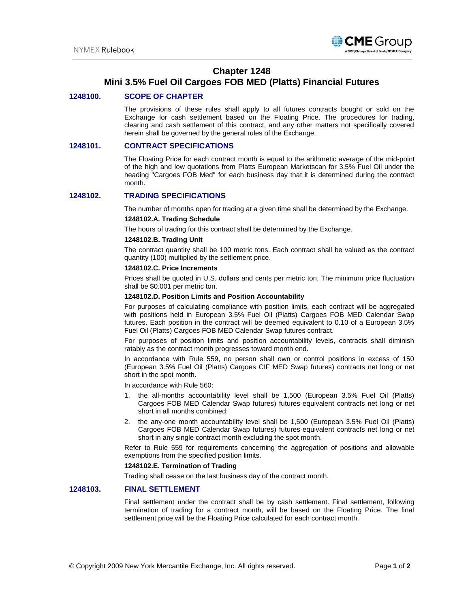

# **Chapter 1248**

# **Mini 3.5% Fuel Oil Cargoes FOB MED (Platts) Financial Futures**

## **1248100. SCOPE OF CHAPTER**

The provisions of these rules shall apply to all futures contracts bought or sold on the Exchange for cash settlement based on the Floating Price. The procedures for trading, clearing and cash settlement of this contract, and any other matters not specifically covered herein shall be governed by the general rules of the Exchange.

#### **1248101. CONTRACT SPECIFICATIONS**

The Floating Price for each contract month is equal to the arithmetic average of the mid-point of the high and low quotations from Platts European Marketscan for 3.5% Fuel Oil under the heading "Cargoes FOB Med" for each business day that it is determined during the contract month.

## **1248102. TRADING SPECIFICATIONS**

The number of months open for trading at a given time shall be determined by the Exchange.

#### **1248102.A. Trading Schedule**

The hours of trading for this contract shall be determined by the Exchange.

#### **1248102.B. Trading Unit**

The contract quantity shall be 100 metric tons. Each contract shall be valued as the contract quantity (100) multiplied by the settlement price.

#### **1248102.C. Price Increments**

Prices shall be quoted in U.S. dollars and cents per metric ton. The minimum price fluctuation shall be \$0.001 per metric ton.

#### **1248102.D. Position Limits and Position Accountability**

For purposes of calculating compliance with position limits, each contract will be aggregated with positions held in European 3.5% Fuel Oil (Platts) Cargoes FOB MED Calendar Swap futures. Each position in the contract will be deemed equivalent to 0.10 of a European 3.5% Fuel Oil (Platts) Cargoes FOB MED Calendar Swap futures contract.

For purposes of position limits and position accountability levels, contracts shall diminish ratably as the contract month progresses toward month end.

In accordance with Rule 559, no person shall own or control positions in excess of 150 (European 3.5% Fuel Oil (Platts) Cargoes CIF MED Swap futures) contracts net long or net short in the spot month.

In accordance with Rule 560:

- 1. the all-months accountability level shall be 1,500 (European 3.5% Fuel Oil (Platts) Cargoes FOB MED Calendar Swap futures) futures-equivalent contracts net long or net short in all months combined;
- 2. the any-one month accountability level shall be 1,500 (European 3.5% Fuel Oil (Platts) Cargoes FOB MED Calendar Swap futures) futures-equivalent contracts net long or net short in any single contract month excluding the spot month.

Refer to Rule 559 for requirements concerning the aggregation of positions and allowable exemptions from the specified position limits.

#### **1248102.E. Termination of Trading**

Trading shall cease on the last business day of the contract month.

## **1248103. FINAL SETTLEMENT**

Final settlement under the contract shall be by cash settlement. Final settlement, following termination of trading for a contract month, will be based on the Floating Price. The final settlement price will be the Floating Price calculated for each contract month.